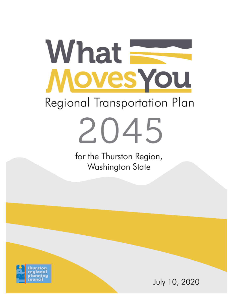# **What** MovesYou Regional Transportation Plan

2045

for the Thurston Region, **Washington State** 



July 10, 2020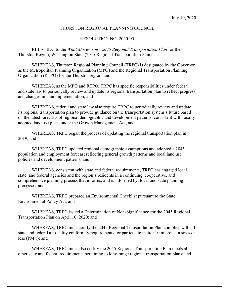#### THURSTON REGIONAL PLANNING COUNCIL

#### RESOLUTION NO. 2020-05

 RELATING to the *What Moves You* - *2045 Regional Transportation Plan* for the Thurston Region, Washington State (2045 Regional Transportation Plan).

 WHEREAS, Thurston Regional Planning Council (TRPC) is designated by the Governor as the Metropolitan Planning Organization (MPO) and the Regional Transportation Planning Organization (RTPO) for the Thurston region; and

 WHEREAS, as the MPO and RTPO, TRPC has specific responsibilities under federal and state law to periodically review and update its regional transportation plan to reflect progress and changes in plan implementation; and

WHEREAS, federal and state law also require TRPC to periodically review and update its regional transportation plan to provide guidance on the transportation system's future based on the latest forecasts of regional demographic and development patterns, consistent with locally adopted land use plans under the Growth Management Act; and

 WHEREAS, TRPC began the process of updating the regional transportation plan in 2019; and

 WHEREAS, TRPC updated regional demographic assumptions and adopted a 2045 population and employment forecast reflecting general growth patterns and local land use policies and development patterns; and

 WHEREAS, consistent with state and federal requirements, TRPC has engaged local, state, and federal agencies and the region's residents in a continuing, cooperative, and comprehensive planning process that informs, and is informed by, local and state planning processes; and

 WHEREAS, TRPC prepared an Environmental Checklist pursuant to the State Environmental Policy Act; and

 WHEREAS, TRPC issued a Determination of Non-Significance for the 2045 Regional Transportation Plan on April 10, 2020; and

 WHEREAS, TRPC must certify the 2045 Regional Transportation Plan complies with all state and federal air quality conformity requirements for particulate matter 10 microns in sizes or less (PM10); and

 WHEREAS, TRPC must also certify the 2045 Regional Transportation Plan meets all other state and federal requirements pertaining to long-range regional transportation plans; and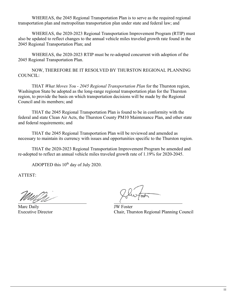WHEREAS, the 2045 Regional Transportation Plan is to serve as the required regional transportation plan and metropolitan transportation plan under state and federal law; and

 WHEREAS, the 2020-2023 Regional Transportation Improvement Program (RTIP) must also be updated to reflect changes to the annual vehicle miles traveled growth rate found in the 2045 Regional Transportation Plan; and

 WHEREAS, the 2020-2023 RTIP must be re-adopted concurrent with adoption of the 2045 Regional Transportation Plan.

 NOW, THEREFORE BE IT RESOLVED BY THURSTON REGIONAL PLANNING COUNCIL:

 THAT *What Moves You - 2045 Regional Transportation Plan* for the Thurston region, Washington State be adopted as the long-range regional transportation plan for the Thurston region, to provide the basis on which transportation decisions will be made by the Regional Council and its members; and

THAT the 2045 Regional Transportation Plan is found to be in conformity with the federal and state Clean Air Acts, the Thurston County PM10 Maintenance Plan, and other state and federal requirements; and

 THAT the 2045 Regional Transportation Plan will be reviewed and amended as necessary to maintain its currency with issues and opportunities specific to the Thurston region.

 THAT the 2020-2023 Regional Transportation Improvement Program be amended and re-adopted to reflect an annual vehicle miles traveled growth rate of 1.19% for 2020-2045.

ADOPTED this 10<sup>th</sup> day of July 2020.

ATTEST:

 $\overline{a}$ 

Marc Daily **JW** Foster

Executive Director Chair, Thurston Regional Planning Council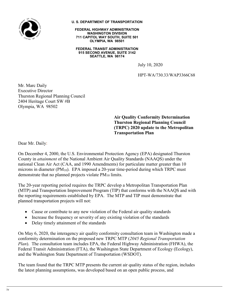

#### **U. S. DEPARTMENT OF TRANSPORTATION**

**FEDERAL HIGHWAY ADMINISTRATION WASHINGTON DIVISION 711 CAPITOL WAY SOUTH, SUITE 501 OLYMPIA, WA 98501**

**FEDERAL TRANSIT ADMINISTRATION 915 SECOND AVENUE, SUITE 3142 SEATTLE, WA 98174**

July 10, 2020

HPT-WA/730.33/WAP3366C68

Mr. Marc Daily Executive Director Thurston Regional Planning Council 2404 Heritage Court SW #B Olympia, WA 98502

> **Air Quality Conformity Determination Thurston Regional Planning Council (TRPC) 2020 update to the Metropolitan Transportation Plan**

Dear Mr. Daily:

On December 4, 2000, the U.S. Environmental Protection Agency (EPA) designated Thurston County in *attainment* of the National Ambient Air Quality Standards (NAAQS) under the national Clean Air Act (CAA, and 1990 Amendments) for particulate matter greater than 10 microns in diameter  $(PM_{10})$ . EPA imposed a 20-year time-period during which TRPC must demonstrate that no planned projects violate  $PM_{10}$  limits.

The 20-year reporting period requires the TRPC develop a Metropolitan Transportation Plan (MTP) and Transportation Improvement Program (TIP) that conforms with the NAAQS and with the reporting requirements established by EPA. The MTP and TIP must demonstrate that planned transportation projects will not:

- Cause or contribute to any new violation of the Federal air quality standards
- Increase the frequency or severity of any existing violation of the standards
- Delay timely attainment of the standards

On May 6, 2020, the interagency air quality conformity consultation team in Washington made a conformity determination on the proposed new TRPC MTP (*2045 Regional Transportation Plan*). The consultation team includes EPA, the Federal Highway Administration (FHWA), the Federal Transit Administration (FTA), the Washington State Department of Ecology (Ecology), and the Washington State Department of Transportation (WSDOT).

The team found that the TRPC MTP presents the current air quality status of the region, includes the latest planning assumptions, was developed based on an open public process, and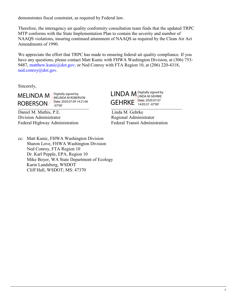demonstrates fiscal constraint, as required by Federal law.

Therefore, the interagency air quality conformity consultation team finds that the updated TRPC MTP conforms with the State Implementation Plan to contain the severity and number of NAAQS violations, insuring continued attainment of NAAQS as required by the Clean Air Act Amendments of 1990.

We appreciate the effort that TRPC has made to ensuring federal air quality compliance. If you have any questions, please contact Matt Kunic with FHWA Washington Division, at (306) 753- 9487, matthew.kunic@dot.gov; or Ned Conroy with FTA Region 10, at (206) 220-4318, ned.conroy@dot.gov.

Sincerely,

\_\_\_\_\_\_\_\_\_\_\_\_\_\_\_\_\_\_\_\_\_\_\_\_\_\_\_\_\_\_\_ \_\_\_\_\_\_\_\_\_\_\_\_\_\_\_\_\_\_\_\_\_\_\_\_\_\_\_\_\_\_\_ MELINDA M ROBERSON Digitally signed by MELINDA M ROBERSON Date: 2020.07.09 14:21:06 -07'00'

Daniel M. Mathis, P.E. Linda M. Gehrke Division Administrator Regional Administrator Federal Highway Administration Federal Transit Administration

LINDA M Digitally signed by GEHRKE Date: 2020.07.07 LINDA M GEHRKE 14:05:37 -07'00'

cc: Matt Kunic, FHWA Washington Division Sharon Love, FHWA Washington Division Ned Conroy, FTA Region 10 Dr. Karl Pepple, EPA, Region 10 Mike Boyer, WA State Department of Ecology Karin Landsberg, WSDOT Cliff Hall, WSDOT; MS: 47370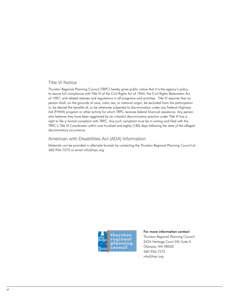#### Title VI Notice

Thurston Regional Planning Council (TRPC) hereby gives public notice that it is the agency's policy to assure full compliance with Title VI of the Civil Rights Act of 1964, the Civil Rights Restoration Act of 1987, and related statutes and regulations in all programs and activities. Title VI requires that no person shall, on the grounds of race, color, sex, or national origin, be excluded from the participation in, be denied the benefits of, or be otherwise subjected to discrimination under any Federal Highway Aid (FHWA) program or other activity for which TRPC receives federal financial assistance. Any person who believes they have been aggrieved by an unlawful discriminatory practice under Title VI has a right to file a formal complaint with TRPC. Any such complaint must be in writing and filed with the TRPC's Title VI Coordinator within one hundred and eighty (180) days following the date of the alleged discriminatory occurrence.

#### American with Disabilities Act (ADA) Information

Materials can be provided in alternate formats by contacting the Thurston Regional Planning Council at 360.956.7575 or email info@trpc.org.



#### For more information contact:

Thurston Regional Planning Council 2424 Heritage Court SW, Suite A Olympia, WA 98502 360.956.7575 info@trpc.org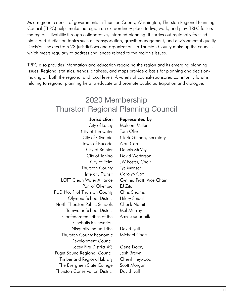As a regional council of governments in Thurston County, Washington, Thurston Regional Planning Council (TRPC) helps make the region an extraordinary place to live, work, and play. TRPC fosters the region's livability through collaborative, informed planning. It carries out regionally focused plans and studies on topics such as transportation, growth management, and environmental quality. Decision-makers from 23 jurisdictions and organizations in Thurston County make up the council, which meets regularly to address challenges related to the region's issues.

TRPC also provides information and education regarding the region and its emerging planning issues. Regional statistics, trends, analyses, and maps provide a basis for planning and decisionmaking on both the regional and local levels. A variety of council-sponsored community forums relating to regional planning help to educate and promote public participation and dialogue.

### 2020 Membership Thurston Regional Planning Council

**Jurisdiction** City of Lacey City of Tumwater City of Olympia Town of Bucoda City of Rainier City of Tenino City of Yelm Thurston County Intercity Transit LOTT Clean Water Alliance Port of Olympia PUD No. 1 of Thurston County Olympia School District North Thurston Public Schools Tumwater School District Confederated Tribes of the Chehalis Reservation Nisqually Indian Tribe Thurston County Economic Development Council Lacey Fire District #3 Puget Sound Regional Council Timberland Regional Library The Evergreen State College Thurston Conservation District

#### Represented by

Malcom Miller Tom Oliva Clark Gilman, Secretary Alan Carr Dennis McVey David Watterson JW Foster, Chair Tye Menser Carolyn Cox Cynthia Pratt, Vice Chair EJ Zita Chris Stearns Hilary Seidel Chuck Namit Mel Murray Amy Loudermilk David Iyall

Michael Cade

Gene Dobry Josh Brown Cheryl Heywood Scott Morgan David Iyall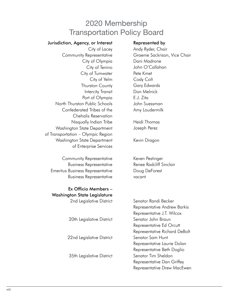### 2020 Membership Transportation Policy Board

#### Jurisdiction, Agency, or Interest

City of Lacey Community Representative City of Olympia City of Tenino City of Tumwater City of Yelm Thurston County Intercity Transit Port of Olympia North Thurston Public Schools Confederated Tribes of the Chehalis Reservation Nisqually Indian Tribe Washington State Department of Transportation – Olympic Region Washington State Department of Enterprise Services

Community Representative Business Representative Emeritus Business Representative Business Representative

Ex Officio Members – Washington State Legislature 2nd Legislative District

20th Legislative District

22nd Legislative District

35th Legislative District

#### Represented by

Andy Ryder, Chair Graeme Sackrison, Vice Chair Dani Madrone John O'Callahan Pete Kmet Cody Colt Gary Edwards Don Melnick E.J. Zita John Suessman Amy Loudermilk

Heidi Thomas Joseph Perez

Kevin Dragon

Keven Pestinger Renee Radcliff Sinclair Doug DeForest vacant

Senator Randi Becker Representative Andrew Barkis Representative J.T. Wilcox Senator John Braun Representative Ed Orcutt Representative Richard DeBolt Senator Sam Hunt Representative Laurie Dolan Representative Beth Doglio Senator Tim Sheldon Representative Dan Griffey Representative Drew MacEwen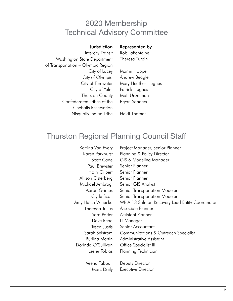### 2020 Membership Technical Advisory Committee

#### **Jurisdiction**

Intercity Transit Washington State Department of Transportation – Olympic Region City of Lacey City of Olympia City of Tumwater City of Yelm Thurston County Confederated Tribes of the Chehalis Reservation Nisqually Indian Tribe

#### Represented by Rob LaFontaine Theresa Turpin

Martin Hoppe Andrew Beagle Mary Heather Hughes Patrick Hughes Matt Unzelman Bryan Sanders

Heidi Thomas

### Thurston Regional Planning Council Staff

| Katrina Van Every     | Project Manager, Senior Planner                 |
|-----------------------|-------------------------------------------------|
| Karen Parkhurst       | Planning & Policy Director                      |
| Scott Carte           | GIS & Modeling Manager                          |
| Paul Brewster         | Senior Planner                                  |
| Holly Gilbert         | Senior Planner                                  |
| Allison Osterberg     | Senior Planner                                  |
| Michael Ambrogi       | Senior GIS Analyst                              |
| <b>Agron Grimes</b>   | Senior Transportation Modeler                   |
| Clyde Scott           | Senior Transportation Modeler                   |
| Amy Hatch-Winecka     | WRIA 13 Salmon Recovery Lead Entity Coordinator |
| Theressa Julius       | Associate Planner                               |
| Sara Porter           | <b>Assistant Planner</b>                        |
| Dave Read             | <b>IT Manager</b>                               |
| Tyson Justis          | Senior Accountant                               |
| Sarah Selstrom        | Communications & Outreach Specialist            |
| <b>Burling Martin</b> | Administrative Assistant                        |
| Dorinda O'Sullivan    | Office Specialist III                           |
| Lester Tobias         | Planning Technician                             |
| Veena Tabbutt         | Deputy Director                                 |
| Marc Daily            | <b>Executive Director</b>                       |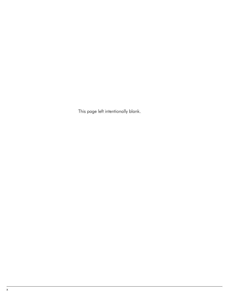This page left intentionally blank.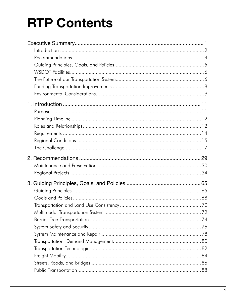# **RTP Contents**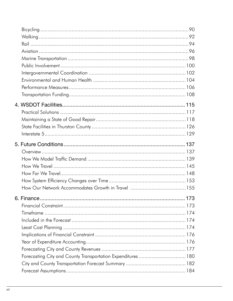| Forecasting City and County Transportation Expenditures  180 |  |
|--------------------------------------------------------------|--|
|                                                              |  |
|                                                              |  |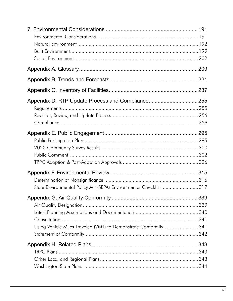| State Environmental Policy Act (SEPA) Environmental Checklist 317 |  |
|-------------------------------------------------------------------|--|
| Using Vehicle Miles Traveled (VMT) to Demonstrate Conformity 341  |  |
|                                                                   |  |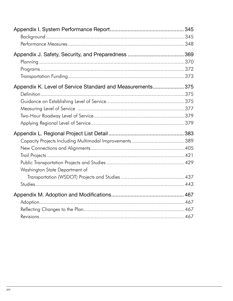| Appendix K. Level of Service Standard and Measurements 375 |  |
|------------------------------------------------------------|--|
|                                                            |  |
|                                                            |  |
|                                                            |  |
|                                                            |  |
|                                                            |  |
|                                                            |  |
|                                                            |  |
|                                                            |  |
|                                                            |  |
|                                                            |  |
| Washington State Department of                             |  |
|                                                            |  |
|                                                            |  |
|                                                            |  |
|                                                            |  |
|                                                            |  |
|                                                            |  |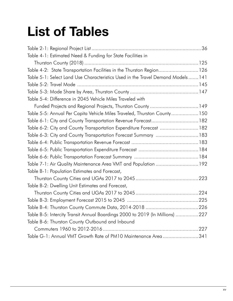# List of Tables

| Table 4-1: Estimated Need & Funding for State Facilities in                    |  |
|--------------------------------------------------------------------------------|--|
|                                                                                |  |
| Table 4-2: State Transportation Facilities in the Thurston Region 126          |  |
| Table 5-1: Select Land Use Characteristics Used in the Travel Demand Models141 |  |
|                                                                                |  |
|                                                                                |  |
| Table 5-4: Difference in 2045 Vehicle Miles Traveled with                      |  |
| Funded Projects and Regional Projects, Thurston County 149                     |  |
| Table 5-5: Annual Per Capita Vehicle Miles Traveled, Thurston County150        |  |
| Table 6-1: City and County Transportation Revenue Forecast182                  |  |
| Table 6-2: City and County Transportation Expenditure Forecast 182             |  |
| Table 6-3: City and County Transportation Forecast Summary 183                 |  |
|                                                                                |  |
|                                                                                |  |
|                                                                                |  |
| Table 7-1: Air Quality Maintenance Area VMT and Population 192                 |  |
| Table B-1: Population Estimates and Forecast,                                  |  |
|                                                                                |  |
| Table B-2: Dwelling Unit Estimates and Forecast,                               |  |
|                                                                                |  |
|                                                                                |  |
| Table B-4: Thurston County Commute Data, 2014-2018 226                         |  |
| Table B-5: Intercity Transit Annual Boardings 2000 to 2019 (In Millions) 227   |  |
| Table B-6: Thurston County Outbound and Inbound                                |  |
|                                                                                |  |
| Table G-1: Annual VMT Growth Rate of PM10 Maintenance Area341                  |  |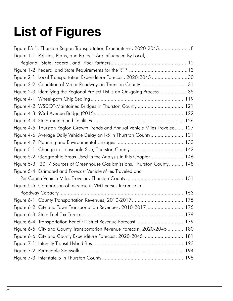# List of Figures

| Figure ES-1: Thurston Region Transportation Expenditures, 2020-2045 8           |      |
|---------------------------------------------------------------------------------|------|
| Figure 1-1: Policies, Plans, and Projects Are Influenced By Local,              |      |
|                                                                                 |      |
|                                                                                 |      |
| Figure 2-1: Local Transportation Expenditure Forecast, 2020-2045 30             |      |
| Figure 2-2: Condition of Major Roadways in Thurston County31                    |      |
| Figure 2-3: Identifying the Regional Project List Is an On-going Process35      |      |
|                                                                                 |      |
| Figure 4-2: WSDOT-Maintained Bridges in Thurston County  121                    |      |
|                                                                                 |      |
|                                                                                 |      |
| Figure 4-5: Thurston Region Growth Trends and Annual Vehicle Miles Traveled 127 |      |
| Figure 4-6: Average Daily Vehicle Delay on I-5 in Thurston County131            |      |
|                                                                                 |      |
|                                                                                 |      |
| Figure 5-2: Geographic Areas Used in the Analysis in this Chapter 146           |      |
| Figure 5-3: 2017 Sources of Greenhouse Gas Emissions, Thurston County148        |      |
| Figure 5-4: Estimated and Forecast Vehicle Miles Traveled and                   |      |
|                                                                                 |      |
| Figure 5-5: Comparison of Increase in VMT versus Increase in                    |      |
|                                                                                 |      |
|                                                                                 |      |
| Figure 6-2: City and Town Transportation Revenues, 2010-2017175                 |      |
|                                                                                 | .179 |
| Figure 6-4: Transportation Benefit District Revenue Forecast  179               |      |
| Figure 6-5: City and County Transportation Revenue Forecast, 2020-2045180       |      |
| Figure 6-6: City and County Expenditure Forecast, 2020-2045181                  |      |
|                                                                                 |      |
|                                                                                 |      |
|                                                                                 |      |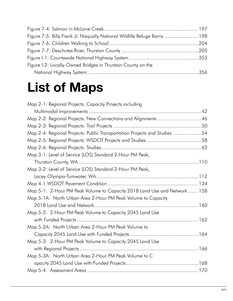| Figure 7-5: Billy Frank Jr. Nisqually National Wildlife Refuge Barns  198 |  |
|---------------------------------------------------------------------------|--|
|                                                                           |  |
|                                                                           |  |
|                                                                           |  |
| Figure I-2: Locally-Owned Bridges in Thurston County on the               |  |
|                                                                           |  |

# List of Maps

| Map 2-1: Regional Projects: Capacity Projects including                   |  |
|---------------------------------------------------------------------------|--|
|                                                                           |  |
| Map 2-2: Regional Projects: New Connections and Alignments46              |  |
|                                                                           |  |
| Map 2-4: Regional Projects: Public Transportation Projects and Studies 54 |  |
|                                                                           |  |
|                                                                           |  |
| Map 3-1: Level of Service (LOS) Standard 2-Hour PM Peak,                  |  |
|                                                                           |  |
| Map 3-2: Level of Service (LOS) Standard 2-Hour PM Peak,                  |  |
|                                                                           |  |
|                                                                           |  |
| Map 5-1: 2-Hour PM Peak Volume to Capacity 2018 Land Use and Network  158 |  |
| Map 5-1A: North Urban Area 2-Hour PM Peak Volume to Capacity              |  |
|                                                                           |  |
| Map 5-2: 2-Hour PM Peak Volume to Capacity 2045 Land Use                  |  |
|                                                                           |  |
| Map 5-2A: North Urban Area 2-Hour PM Peak Volume to                       |  |
|                                                                           |  |
| Map 5-3: 2-Hour PM Peak Volume to Capacity 2045 Land Use                  |  |
|                                                                           |  |
| Map 5-3A: North Urban Area 2-Hour PM Peak Volume to C                     |  |
|                                                                           |  |
|                                                                           |  |